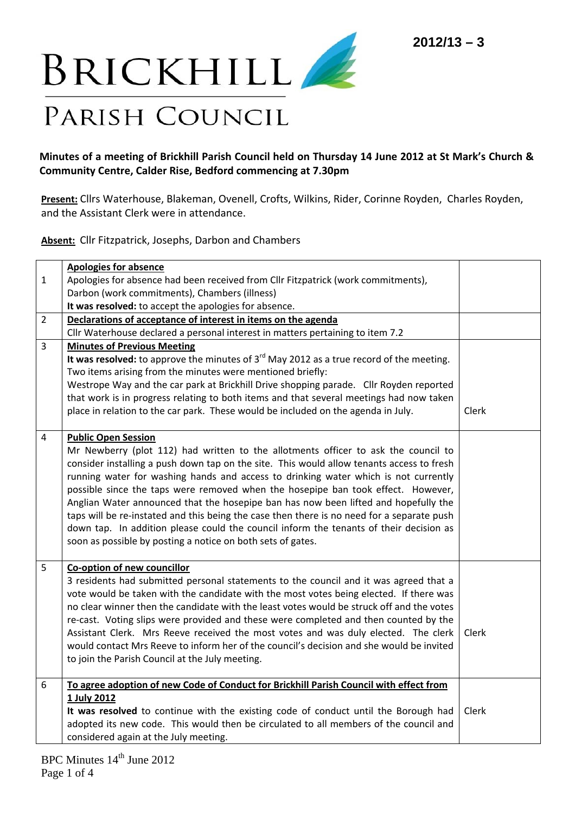

## Minutes of a meeting of Brickhill Parish Council held on Thursday 14 June 2012 at St Mark's Church & **Community Centre, Calder Rise, Bedford commencing at 7.30pm**

**Present:** Cllrs Waterhouse, Blakeman, Ovenell, Crofts, Wilkins, Rider, Corinne Royden, Charles Royden, and the Assistant Clerk were in attendance.

**Absent:** Cllr Fitzpatrick, Josephs, Darbon and Chambers

|                | <b>Apologies for absence</b>                                                                                                                                                 |       |
|----------------|------------------------------------------------------------------------------------------------------------------------------------------------------------------------------|-------|
| $\mathbf{1}$   | Apologies for absence had been received from Cllr Fitzpatrick (work commitments),                                                                                            |       |
|                | Darbon (work commitments), Chambers (illness)                                                                                                                                |       |
|                | It was resolved: to accept the apologies for absence.                                                                                                                        |       |
| $\overline{2}$ | Declarations of acceptance of interest in items on the agenda                                                                                                                |       |
|                | Cllr Waterhouse declared a personal interest in matters pertaining to item 7.2                                                                                               |       |
| 3              | <b>Minutes of Previous Meeting</b>                                                                                                                                           |       |
|                | It was resolved: to approve the minutes of $3rd$ May 2012 as a true record of the meeting.                                                                                   |       |
|                | Two items arising from the minutes were mentioned briefly:                                                                                                                   |       |
|                | Westrope Way and the car park at Brickhill Drive shopping parade. Cllr Royden reported                                                                                       |       |
|                | that work is in progress relating to both items and that several meetings had now taken                                                                                      |       |
|                | place in relation to the car park. These would be included on the agenda in July.                                                                                            | Clerk |
|                |                                                                                                                                                                              |       |
| 4              | <b>Public Open Session</b>                                                                                                                                                   |       |
|                | Mr Newberry (plot 112) had written to the allotments officer to ask the council to                                                                                           |       |
|                | consider installing a push down tap on the site. This would allow tenants access to fresh                                                                                    |       |
|                | running water for washing hands and access to drinking water which is not currently                                                                                          |       |
|                | possible since the taps were removed when the hosepipe ban took effect. However,                                                                                             |       |
|                | Anglian Water announced that the hosepipe ban has now been lifted and hopefully the                                                                                          |       |
|                | taps will be re-instated and this being the case then there is no need for a separate push                                                                                   |       |
|                | down tap. In addition please could the council inform the tenants of their decision as                                                                                       |       |
|                | soon as possible by posting a notice on both sets of gates.                                                                                                                  |       |
| 5              | Co-option of new councillor                                                                                                                                                  |       |
|                | 3 residents had submitted personal statements to the council and it was agreed that a                                                                                        |       |
|                | vote would be taken with the candidate with the most votes being elected. If there was                                                                                       |       |
|                | no clear winner then the candidate with the least votes would be struck off and the votes                                                                                    |       |
|                | re-cast. Voting slips were provided and these were completed and then counted by the                                                                                         |       |
|                | Assistant Clerk. Mrs Reeve received the most votes and was duly elected. The clerk                                                                                           | Clerk |
|                | would contact Mrs Reeve to inform her of the council's decision and she would be invited                                                                                     |       |
|                | to join the Parish Council at the July meeting.                                                                                                                              |       |
|                |                                                                                                                                                                              |       |
| 6              | To agree adoption of new Code of Conduct for Brickhill Parish Council with effect from                                                                                       |       |
|                | 1 July 2012                                                                                                                                                                  | Clerk |
|                | It was resolved to continue with the existing code of conduct until the Borough had<br>adopted its new code. This would then be circulated to all members of the council and |       |
|                |                                                                                                                                                                              |       |
|                | considered again at the July meeting.                                                                                                                                        |       |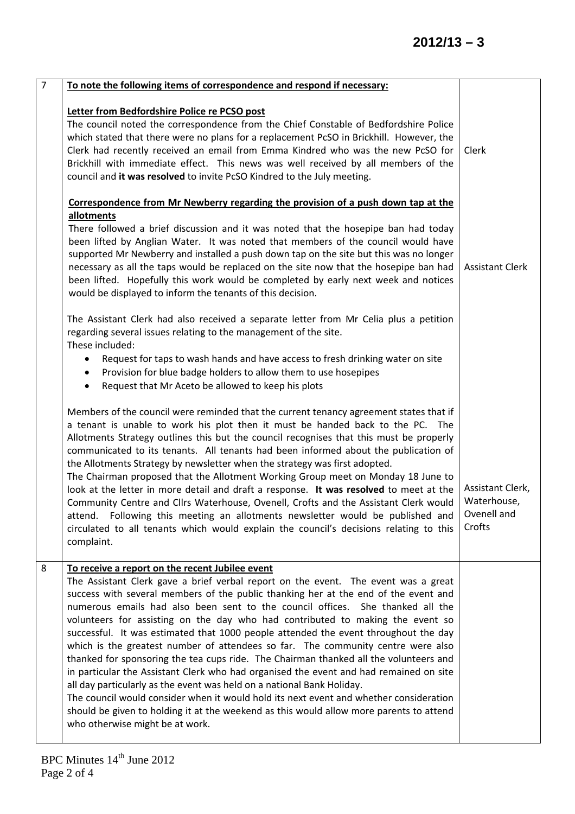| $\overline{7}$ | To note the following items of correspondence and respond if necessary:                                                                                                                                                                                                                                                                                                                                                                                                                                                                                                                                                                                                                                                                                                                                                                                                                                                                                                                                                                                          |                                                          |
|----------------|------------------------------------------------------------------------------------------------------------------------------------------------------------------------------------------------------------------------------------------------------------------------------------------------------------------------------------------------------------------------------------------------------------------------------------------------------------------------------------------------------------------------------------------------------------------------------------------------------------------------------------------------------------------------------------------------------------------------------------------------------------------------------------------------------------------------------------------------------------------------------------------------------------------------------------------------------------------------------------------------------------------------------------------------------------------|----------------------------------------------------------|
|                | Letter from Bedfordshire Police re PCSO post<br>The council noted the correspondence from the Chief Constable of Bedfordshire Police<br>which stated that there were no plans for a replacement PcSO in Brickhill. However, the<br>Clerk had recently received an email from Emma Kindred who was the new PcSO for<br>Brickhill with immediate effect. This news was well received by all members of the<br>council and it was resolved to invite PcSO Kindred to the July meeting.                                                                                                                                                                                                                                                                                                                                                                                                                                                                                                                                                                              | Clerk                                                    |
|                | Correspondence from Mr Newberry regarding the provision of a push down tap at the                                                                                                                                                                                                                                                                                                                                                                                                                                                                                                                                                                                                                                                                                                                                                                                                                                                                                                                                                                                |                                                          |
|                | allotments<br>There followed a brief discussion and it was noted that the hosepipe ban had today<br>been lifted by Anglian Water. It was noted that members of the council would have<br>supported Mr Newberry and installed a push down tap on the site but this was no longer<br>necessary as all the taps would be replaced on the site now that the hosepipe ban had<br>been lifted. Hopefully this work would be completed by early next week and notices<br>would be displayed to inform the tenants of this decision.                                                                                                                                                                                                                                                                                                                                                                                                                                                                                                                                     | <b>Assistant Clerk</b>                                   |
|                | The Assistant Clerk had also received a separate letter from Mr Celia plus a petition<br>regarding several issues relating to the management of the site.<br>These included:<br>Request for taps to wash hands and have access to fresh drinking water on site<br>Provision for blue badge holders to allow them to use hosepipes<br>$\bullet$<br>Request that Mr Aceto be allowed to keep his plots<br>$\bullet$                                                                                                                                                                                                                                                                                                                                                                                                                                                                                                                                                                                                                                                |                                                          |
|                | Members of the council were reminded that the current tenancy agreement states that if<br>a tenant is unable to work his plot then it must be handed back to the PC. The<br>Allotments Strategy outlines this but the council recognises that this must be properly<br>communicated to its tenants. All tenants had been informed about the publication of<br>the Allotments Strategy by newsletter when the strategy was first adopted.<br>The Chairman proposed that the Allotment Working Group meet on Monday 18 June to<br>look at the letter in more detail and draft a response. It was resolved to meet at the<br>Community Centre and Cllrs Waterhouse, Ovenell, Crofts and the Assistant Clerk would<br>attend. Following this meeting an allotments newsletter would be published and<br>circulated to all tenants which would explain the council's decisions relating to this<br>complaint.                                                                                                                                                         | Assistant Clerk,<br>Waterhouse,<br>Ovenell and<br>Crofts |
| 8              | To receive a report on the recent Jubilee event<br>The Assistant Clerk gave a brief verbal report on the event. The event was a great<br>success with several members of the public thanking her at the end of the event and<br>numerous emails had also been sent to the council offices. She thanked all the<br>volunteers for assisting on the day who had contributed to making the event so<br>successful. It was estimated that 1000 people attended the event throughout the day<br>which is the greatest number of attendees so far. The community centre were also<br>thanked for sponsoring the tea cups ride. The Chairman thanked all the volunteers and<br>in particular the Assistant Clerk who had organised the event and had remained on site<br>all day particularly as the event was held on a national Bank Holiday.<br>The council would consider when it would hold its next event and whether consideration<br>should be given to holding it at the weekend as this would allow more parents to attend<br>who otherwise might be at work. |                                                          |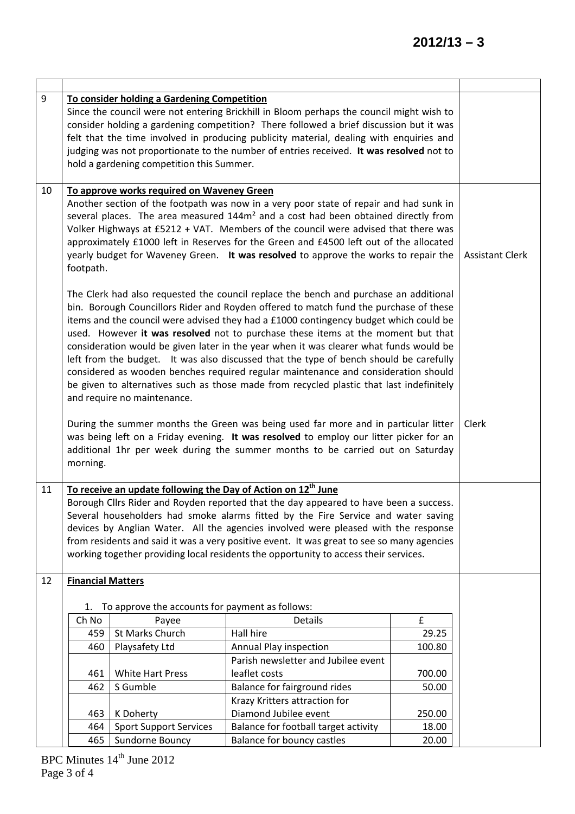| 9  |                          | To consider holding a Gardening Competition<br>hold a gardening competition this Summer. | Since the council were not entering Brickhill in Bloom perhaps the council might wish to<br>consider holding a gardening competition? There followed a brief discussion but it was<br>felt that the time involved in producing publicity material, dealing with enquiries and<br>judging was not proportionate to the number of entries received. It was resolved not to                                                                                                                                                                                                                                                                                                                                                          |                 |                        |
|----|--------------------------|------------------------------------------------------------------------------------------|-----------------------------------------------------------------------------------------------------------------------------------------------------------------------------------------------------------------------------------------------------------------------------------------------------------------------------------------------------------------------------------------------------------------------------------------------------------------------------------------------------------------------------------------------------------------------------------------------------------------------------------------------------------------------------------------------------------------------------------|-----------------|------------------------|
| 10 | footpath.                | To approve works required on Waveney Green                                               | Another section of the footpath was now in a very poor state of repair and had sunk in<br>several places. The area measured 144m <sup>2</sup> and a cost had been obtained directly from<br>Volker Highways at £5212 + VAT. Members of the council were advised that there was<br>approximately £1000 left in Reserves for the Green and £4500 left out of the allocated<br>yearly budget for Waveney Green. It was resolved to approve the works to repair the                                                                                                                                                                                                                                                                   |                 | <b>Assistant Clerk</b> |
|    |                          | and require no maintenance.                                                              | The Clerk had also requested the council replace the bench and purchase an additional<br>bin. Borough Councillors Rider and Royden offered to match fund the purchase of these<br>items and the council were advised they had a £1000 contingency budget which could be<br>used. However it was resolved not to purchase these items at the moment but that<br>consideration would be given later in the year when it was clearer what funds would be<br>left from the budget. It was also discussed that the type of bench should be carefully<br>considered as wooden benches required regular maintenance and consideration should<br>be given to alternatives such as those made from recycled plastic that last indefinitely |                 |                        |
|    | morning.                 |                                                                                          | During the summer months the Green was being used far more and in particular litter<br>was being left on a Friday evening. It was resolved to employ our litter picker for an<br>additional 1hr per week during the summer months to be carried out on Saturday                                                                                                                                                                                                                                                                                                                                                                                                                                                                   |                 | Clerk                  |
| 11 |                          | To receive an update following the Day of Action on 12 <sup>th</sup> June                | Borough Cllrs Rider and Royden reported that the day appeared to have been a success.<br>Several householders had smoke alarms fitted by the Fire Service and water saving<br>devices by Anglian Water. All the agencies involved were pleased with the response<br>from residents and said it was a very positive event. It was great to see so many agencies<br>working together providing local residents the opportunity to access their services.                                                                                                                                                                                                                                                                            |                 |                        |
| 12 | <b>Financial Matters</b> |                                                                                          |                                                                                                                                                                                                                                                                                                                                                                                                                                                                                                                                                                                                                                                                                                                                   |                 |                        |
|    | 1.                       | To approve the accounts for payment as follows:                                          |                                                                                                                                                                                                                                                                                                                                                                                                                                                                                                                                                                                                                                                                                                                                   |                 |                        |
|    | Ch No                    | Payee                                                                                    | <b>Details</b>                                                                                                                                                                                                                                                                                                                                                                                                                                                                                                                                                                                                                                                                                                                    | £               |                        |
|    | 459                      | St Marks Church                                                                          | Hall hire                                                                                                                                                                                                                                                                                                                                                                                                                                                                                                                                                                                                                                                                                                                         | 29.25           |                        |
|    | 460                      | Playsafety Ltd                                                                           | Annual Play inspection                                                                                                                                                                                                                                                                                                                                                                                                                                                                                                                                                                                                                                                                                                            | 100.80          |                        |
|    |                          |                                                                                          | Parish newsletter and Jubilee event                                                                                                                                                                                                                                                                                                                                                                                                                                                                                                                                                                                                                                                                                               |                 |                        |
|    | 461                      | <b>White Hart Press</b>                                                                  | leaflet costs                                                                                                                                                                                                                                                                                                                                                                                                                                                                                                                                                                                                                                                                                                                     | 700.00          |                        |
|    | 462                      | S Gumble                                                                                 | Balance for fairground rides                                                                                                                                                                                                                                                                                                                                                                                                                                                                                                                                                                                                                                                                                                      | 50.00           |                        |
|    |                          |                                                                                          | Krazy Kritters attraction for                                                                                                                                                                                                                                                                                                                                                                                                                                                                                                                                                                                                                                                                                                     |                 |                        |
|    | 463                      | K Doherty<br><b>Sport Support Services</b>                                               | Diamond Jubilee event<br>Balance for football target activity                                                                                                                                                                                                                                                                                                                                                                                                                                                                                                                                                                                                                                                                     | 250.00<br>18.00 |                        |
|    | 464<br>465               | Sundorne Bouncy                                                                          | Balance for bouncy castles                                                                                                                                                                                                                                                                                                                                                                                                                                                                                                                                                                                                                                                                                                        | 20.00           |                        |
|    |                          |                                                                                          |                                                                                                                                                                                                                                                                                                                                                                                                                                                                                                                                                                                                                                                                                                                                   |                 |                        |

 $\overline{\phantom{a}}$ 

 $\mathbf{r}$